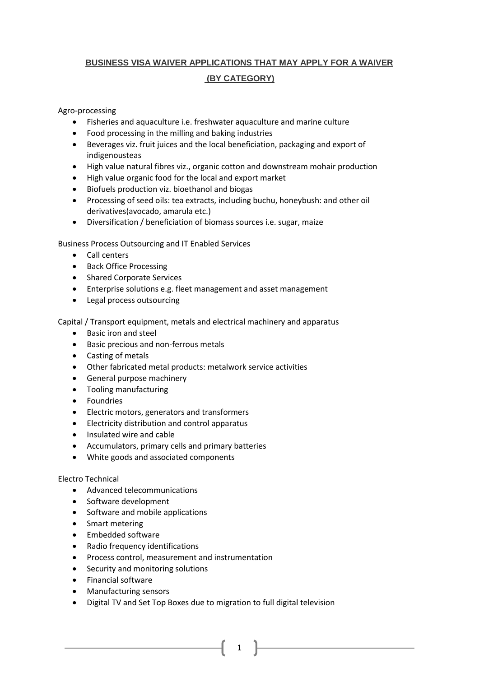# **BUSINESS VISA WAIVER APPLICATIONS THAT MAY APPLY FOR A WAIVER (BY CATEGORY)**

## Agro-processing

- Fisheries and aquaculture i.e. freshwater aquaculture and marine culture
- Food processing in the milling and baking industries
- Beverages viz. fruit juices and the local beneficiation, packaging and export of indigenousteas
- High value natural fibres viz., organic cotton and downstream mohair production
- High value organic food for the local and export market
- Biofuels production viz. bioethanol and biogas
- Processing of seed oils: tea extracts, including buchu, honeybush: and other oil derivatives(avocado, amarula etc.)
- Diversification / beneficiation of biomass sources i.e. sugar, maize

Business Process Outsourcing and IT Enabled Services

- Call centers
- Back Office Processing
- Shared Corporate Services
- Enterprise solutions e.g. fleet management and asset management
- Legal process outsourcing

Capital / Transport equipment, metals and electrical machinery and apparatus

- Basic iron and steel
- **•** Basic precious and non-ferrous metals
- Casting of metals
- Other fabricated metal products: metalwork service activities
- General purpose machinery
- Tooling manufacturing
- **•** Foundries
- Electric motors, generators and transformers
- Electricity distribution and control apparatus
- Insulated wire and cable
- Accumulators, primary cells and primary batteries
- White goods and associated components

#### Electro Technical

- Advanced telecommunications
- Software development
- Software and mobile applications
- Smart metering
- Embedded software
- Radio frequency identifications
- Process control, measurement and instrumentation
- Security and monitoring solutions
- Financial software
- Manufacturing sensors
- Digital TV and Set Top Boxes due to migration to full digital television

1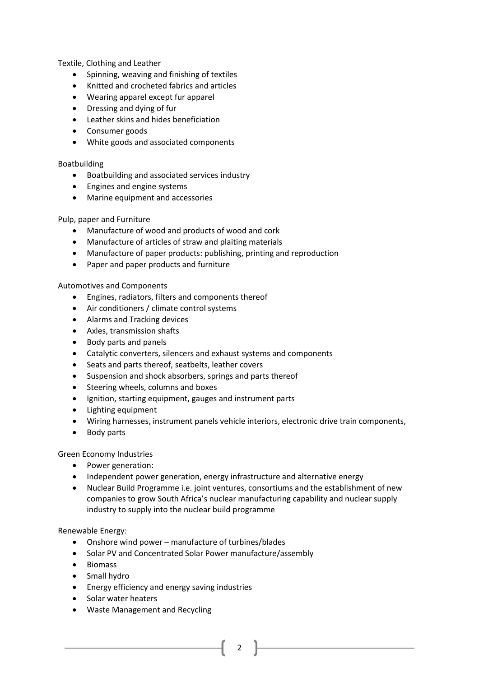Textile, Clothing and Leather

- Spinning, weaving and finishing of textiles
- Knitted and crocheted fabrics and articles
- Wearing apparel except fur apparel
- Dressing and dying of fur
- Leather skins and hides beneficiation
- Consumer goods
- White goods and associated components

### Boatbuilding

- Boatbuilding and associated services industry
- Engines and engine systems
- Marine equipment and accessories

### Pulp, paper and Furniture

- Manufacture of wood and products of wood and cork
- Manufacture of articles of straw and plaiting materials
- Manufacture of paper products: publishing, printing and reproduction
- Paper and paper products and furniture

### Automotives and Components

- Engines, radiators, filters and components thereof
- Air conditioners / climate control systems
- Alarms and Tracking devices
- Axles, transmission shafts
- Body parts and panels
- Catalytic converters, silencers and exhaust systems and components
- Seats and parts thereof, seatbelts, leather covers
- Suspension and shock absorbers, springs and parts thereof
- Steering wheels, columns and boxes
- Ignition, starting equipment, gauges and instrument parts
- Lighting equipment
- Wiring harnesses, instrument panels vehicle interiors, electronic drive train components,
- Body parts

Green Economy Industries

- Power generation:
- Independent power generation, energy infrastructure and alternative energy
- Nuclear Build Programme i.e. joint ventures, consortiums and the establishment of new companies to grow South Africa's nuclear manufacturing capability and nuclear supply industry to supply into the nuclear build programme

Renewable Energy:

- Onshore wind power manufacture of turbines/blades
- Solar PV and Concentrated Solar Power manufacture/assembly
- Biomass
- Small hydro
- **•** Energy efficiency and energy saving industries
- Solar water heaters
- Waste Management and Recycling
- 2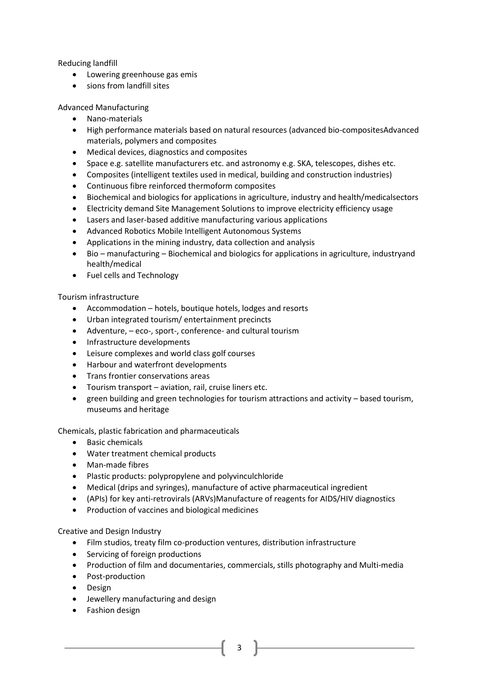Reducing landfill

- Lowering greenhouse gas emis
- sions from landfill sites

Advanced Manufacturing

- Nano-materials
- High performance materials based on natural resources (advanced bio-compositesAdvanced materials, polymers and composites
- Medical devices, diagnostics and composites
- Space e.g. satellite manufacturers etc. and astronomy e.g. SKA, telescopes, dishes etc.
- Composites (intelligent textiles used in medical, building and construction industries)
- Continuous fibre reinforced thermoform composites
- Biochemical and biologics for applications in agriculture, industry and health/medicalsectors
- Electricity demand Site Management Solutions to improve electricity efficiency usage
- Lasers and laser-based additive manufacturing various applications
- Advanced Robotics Mobile Intelligent Autonomous Systems
- Applications in the mining industry, data collection and analysis
- Bio manufacturing Biochemical and biologics for applications in agriculture, industryand health/medical
- Fuel cells and Technology

Tourism infrastructure

- Accommodation hotels, boutique hotels, lodges and resorts
- Urban integrated tourism/ entertainment precincts
- Adventure, eco-, sport-, conference- and cultural tourism
- Infrastructure developments
- Leisure complexes and world class golf courses
- Harbour and waterfront developments
- Trans frontier conservations areas
- Tourism transport aviation, rail, cruise liners etc.
- green building and green technologies for tourism attractions and activity based tourism, museums and heritage

Chemicals, plastic fabrication and pharmaceuticals

- Basic chemicals
- Water treatment chemical products
- Man-made fibres
- Plastic products: polypropylene and polyvinculchloride
- Medical (drips and syringes), manufacture of active pharmaceutical ingredient
- (APIs) for key anti-retrovirals (ARVs)Manufacture of reagents for AIDS/HIV diagnostics
- Production of vaccines and biological medicines

Creative and Design Industry

- Film studios, treaty film co-production ventures, distribution infrastructure
- Servicing of foreign productions
- Production of film and documentaries, commercials, stills photography and Multi-media
- Post-production
- Design
- Jewellery manufacturing and design
- Fashion design

3